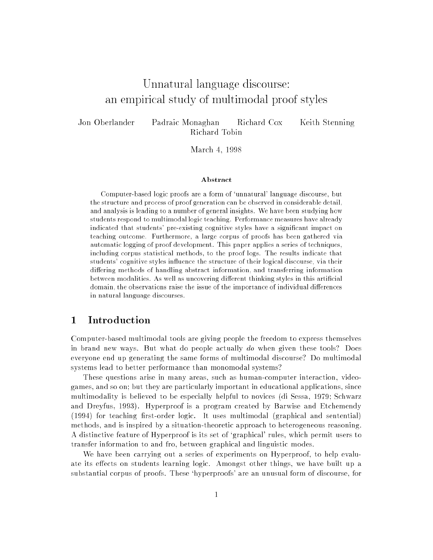# $U$  is a set of the discourse of  $\mathcal{A}$  is a set of the set of the set of the set of the set of the set of the set of the set of the set of the set of the set of the set of the set of the set of the set of the set of th an empirical study of multiples states of  $\mathbb{R}^n$

Jon Oberlander

Padraic Monaghan Richard Cox Keith Stenning Richard Tobin

March 4, <sup>1998</sup>

#### **Abstract**

Computer-based logic proofs are a form of `unnatural' language discourse, but the structure and process of proof generation can be observed in considerable detail, and analysis is leading to a number of general insights. We have been studying how students respond to multimodal logic teaching. Performance measures have already indicated that students' pre-existing cognitive styles have a signicant impact on teaching outcome. Furthermore, a large corpus of proofs has been gathered via automatic logging of proof development. This paper applies a series of techniques, including corpus statistical methods, to the proof logs. The results indicate that students' cognitive styles influence the structure of their logical discourse, via their differing methods of handling abstract information, and transferring information between modalities. As well as uncovering different thinking styles in this artificial domain, the observations raise the issue of the importance of individual differences in natural language discourses.

### 1 Introduction

Computer-based multimodal tools are giving people the freedom to express themselves in brand new ways. But what do people actually do when given these tools? Does everyone end up generating the same forms of multimodal discourse? Do multimodal systems lead to better performance than monomodal systems?

These questions arise in many areas, such as human-computer interaction, videogames, and so on; but they are particularly important in educational applications, since multimodality is believed to be especially helpful to novices (di Sessa, 1979; Schwarz and Dreyfus, 1993). Hyperproof is a program created by Barwise and Etchemendy  $(1994)$  for teaching first-order logic. It uses multimodal (graphical and sentential) methods, and is inspired by a situation-theoretic approach to heterogeneous reasoning. A distinctive feature of Hyperproof is its set of `graphical' rules, which permit users to transfer information to and fro, between graphical and linguistic modes.

We have been carrying out a series of experiments on Hyperproof, to help evaluate its effects on students learning logic. Amongst other things, we have built up a substantial corpus of proofs. These `hyperproofs' are an unusual form of discourse, for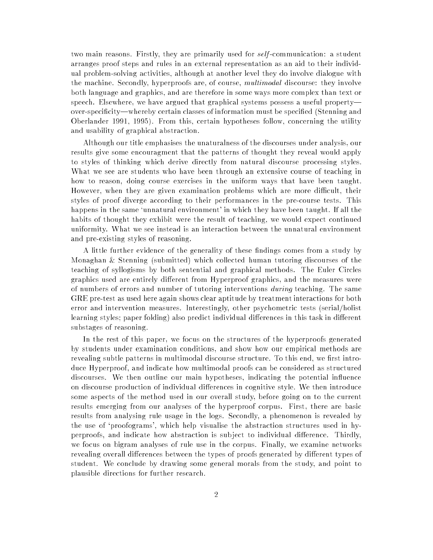two main reasons. Firstly, they are primarily used for *self*-communication: a student arranges proof steps and rules in an external representation as an aid to their individual problem-solving activities, although at another level they do involve dialogue with the machine. Secondly, hyperproofs are, of course, *multimodal* discourse: they involve both language and graphics, and are therefore in some ways more complex than text or speech. Elsewhere, we have argued that graphical systems possess a useful property over-specificity—whereby certain classes of information must be specified (Stenning and Oberlander 1991, 1995). From this, certain hypotheses follow, concerning the utility and usability of graphical abstraction.

Although our title emphasises the unaturalness of the discourses under analysis, our results give some encouragment that the patterns of thought they reveal would apply to styles of thinking which derive directly from natural discourse processing styles. What we see are students who have been through an extensive course of teaching in how to reason, doing course exercises in the uniform ways that have been taught. However, when they are given examination problems which are more difficult, their styles of proof diverge according to their performances in the pre-course tests. This happens in the same 'unnatural environment' in which they have been taught. If all the habits of thought they exhibit were the result of teaching, we would expect continued uniformity. What we see instead is an interaction between the unnatural environment and pre-existing styles of reasoning.

A little further evidence of the generality of these findings comes from a study by Monaghan & Stenning (submitted) which collected human tutoring discourses of the teaching of syllogisms by both sentential and graphical methods. The Euler Circles graphics used are entirely different from Hyperproof graphics, and the measures were of numbers of errors and number of tutoring interventions during teaching. The same GRE pre-test as used here again shows clear aptitude by treatment interactions for both error and intervention measures. Interestingly, other psychometric tests (serial/holist learning styles; paper folding) also predict individual differences in this task in different substages of reasoning.

In the rest of this paper, we focus on the structures of the hyperproofs generated by students under examination conditions, and show how our empirical methods are revealing subtle patterns in multimodal discourse structure. To this end, we first introduce Hyperproof, and indicate how multimodal proofs can be considered as structured discourses. We then outline our main hypotheses, indicating the potential influence on discourse production of individual dierences in cognitive style. We then introduce some aspects of the method used in our overall study, before going on to the current results emerging from our analyses of the hyperproof corpus. First, there are basic results from analysing rule usage in the logs. Secondly, a phenomenon is revealed by the use of `proofograms', which help visualise the abstraction structures used in hyperproofs, and indicate how abstraction is subject to individual difference. Thirdly, we focus on bigram analyses of rule use in the corpus. Finally, we examine networks revealing overall differences between the types of proofs generated by different types of student. We conclude by drawing some general morals from the study, and point to plausible directions for further research.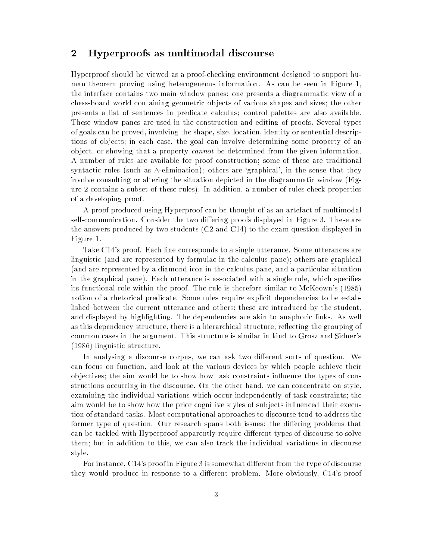### 2 Hyperproofs as multimodal discourse

Hyperproof should be viewed as a proof-checking environment designed to support human theorem proving using heterogeneous information. As can be seen in Figure 1, the interface contains two main window panes: one presents a diagrammatic view of a chess-board world containing geometric ob jects of various shapes and sizes; the other presents a list of sentences in predicate calculus; control palettes are also available. These window panes are used in the construction and editing of proofs. Several types of goals can be proved, involving the shape, size, location, identity or sentential descriptions of ob jects; in each case, the goal can involve determining some property of an ob ject, or showing that a property cannot be determined from the given information. A number of rules are available for proof construction; some of these are traditional syntactic rules (such as  $\wedge$ -elimination); others are 'graphical', in the sense that they involve consulting or altering the situation depicted in the diagrammatic window (Figure 2 contains a subset of these rules). In addition, a number of rules check properties of a developing proof.

A proof produced using Hyperproof can be thought of as an artefact of multimodal self-communication. Consider the two differing proofs displayed in Figure 3. These are the answers produced by two students (C2 and C14) to the exam question displayed in Figure 1.

Take C14's proof. Each line corresponds to a single utterance. Some utterances are linguistic (and are represented by formulae in the calculus pane); others are graphical (and are represented by a diamond icon in the calculus pane, and a particular situation in the graphical pane). Each utterance is associated with a single rule, which species its functional role within the proof. The rule is therefore similar to McKeown's (1985) notion of a rhetorical predicate. Some rules require explicit dependencies to be established between the current utterance and others; these are introduced by the student, and displayed by highlighting. The dependencies are akin to anaphoric links. As well as this dependency structure, there is a hierarchical structure, reflecting the grouping of common cases in the argument. This structure is similar in kind to Grosz and Sidner's (1986) linguistic structure.

In analysing a discourse corpus, we can ask two different sorts of question. We can focus on function, and look at the various devices by which people achieve their ob jectives; the aim would be to show how task constraints in
uence the types of constructions occurring in the discourse. On the other hand, we can concentrate on style, examining the individual variations which occur independently of task constraints; the aim would be to show how the prior cognitive styles of subjects influenced their execution of standard tasks. Most computational approaches to discourse tend to address the former type of question. Our research spans both issues: the differing problems that can be tackled with Hyperproof apparently require different types of discourse to solve them; but in addition to this, we can also track the individual variations in discourse style.

For instance, C14's proof in Figure 3 is somewhat different from the type of discourse they would produce in response to a different problem. More obviously, C14's proof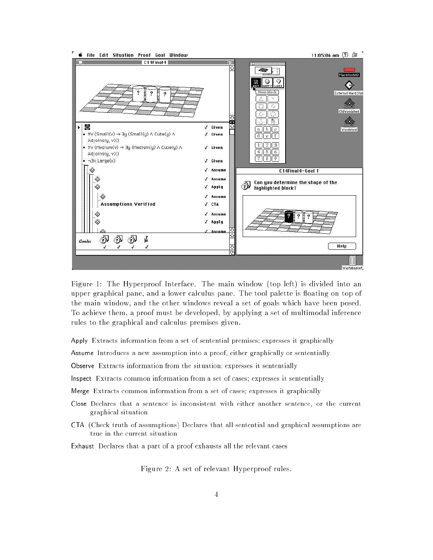

Figure 1: The Hyperproof Interface. The main window (top left) is divided into an upper graphical pane, and a lower calculus pane. The tool palette is floating on top of the main window, and the other windows reveal a set of goals which have been posed. To achieve them, a proof must be developed, by applying a set of multimodal inference rules to the graphical and calculus premises given.

Apply Extracts information from a set of sentential premises; expresses it graphically

Assume Introduces a new assumption into a proof, either graphically or sententially

Observe Extracts information from the situation; expresses it sententially

Inspect Extracts common information from a set of cases; expresses it sententially

Merge Extracts common information from a set of cases; expresses it graphically

- Close Declares that a sentence is inconsistent with either another sentence, or the current graphical situation
- CTA (Check truth of assumptions) Declares that all sentential and graphical assumptions are true in the current situation

Exhaust Declares that a part of a proof exhausts all the relevant cases

Figure 2: A set of relevant Hyperproof rules.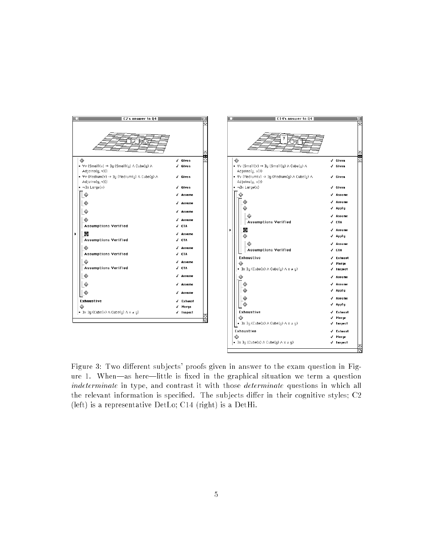

Figure 3: Two different subjects' proofs given in answer to the exam question in Figure 1. When—as here—little is fixed in the graphical situation we term a question indeterminate in type, and contrast it with those *determinate* questions in which all the relevant information is specified. The subjects differ in their cognitive styles;  $C<sub>2</sub>$ (left) is a representative DetLo; C14 (right) is a DetHi.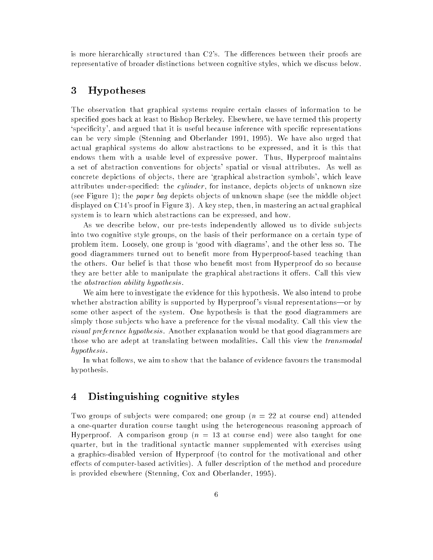is more hierarchically structured than  $C2$ 's. The differences between their proofs are representative of broader distinctions between cognitive styles, which we discuss below.

## 3 Hypotheses

The observation that graphical systems require certain classes of information to be specied goes back at least to Bishop Berkeley. Elsewhere, we have termed this property 'specificity', and argued that it is useful because inference with specific representations can be very simple (Stenning and Oberlander 1991, 1995). We have also urged that actual graphical systems do allow abstractions to be expressed, and it is this that endows them with a usable level of expressive power. Thus, Hyperproof maintains a set of abstraction conventions for ob jects' spatial or visual attributes. As well as concrete depictions of ob jects, there are `graphical abstraction symbols', which leave attributes under-specified: the *cylinder*, for instance, depicts objects of unknown size (see Figure 1); the *paper bag* depicts objects of unknown shape (see the middle object displayed on C14's proof in Figure 3). A key step, then, in mastering an actual graphical system is to learn which abstractions can be expressed, and how.

As we describe below, our pre-tests independently allowed us to divide sub jects into two cognitive style groups, on the basis of their performance on a certain type of problem item. Loosely, one group is `good with diagrams', and the other less so. The good diagrammers turned out to benet more from Hyperproof-based teaching than the others. Our belief is that those who benefit most from Hyperproof do so because they are better able to manipulate the graphical abstractions it offers. Call this view the abstraction ability hypothesis .

We aim here to investigate the evidence for this hypothesis. We also intend to probe whether abstraction ability is supported by Hyperproof's visual representations-or by some other aspect of the system. One hypothesis is that the good diagrammers are simply those sub jects who have a preference for the visual modality. Call this view the visual preference hypothesis . Another explanation would be that good diagrammers are those who are adept at translating between modalities. Call this view the *transmodal* hypothesis .

In what follows, we aim to show that the balance of evidence favours the transmodal hypothesis.

## 4 Distinguishing cognitive styles

Two groups of subjects were compared; one group  $(n = 22$  at course end) attended a one-quarter duration course taught using the heterogeneous reasoning approach of Hyperproof. A comparison group ( $n = 13$  at course end) were also taught for one quarter, but in the traditional syntactic manner supplemented with exercises using a graphics-disabled version of Hyperproof (to control for the motivational and other effects of computer-based activities). A fuller description of the method and procedure is provided elsewhere (Stenning, Cox and Oberlander, 1995).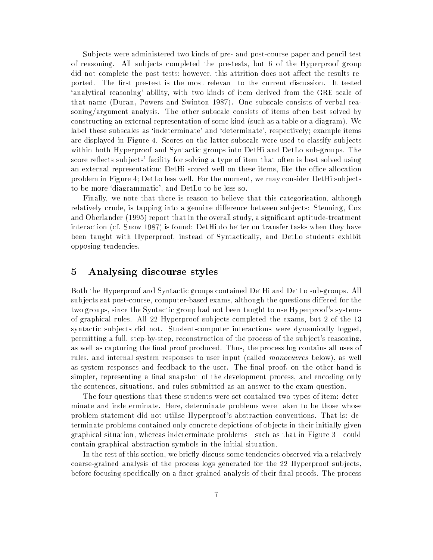Sub jects were administered two kinds of pre- and post-course paper and pencil test of reasoning. All sub jects completed the pre-tests, but 6 of the Hyperproof group did not complete the post-tests; however, this attrition does not affect the results reported. The first pre-test is the most relevant to the current discussion. It tested `analytical reasoning' ability, with two kinds of item derived from the GRE scale of that name (Duran, Powers and Swinton 1987). One subscale consists of verbal reasoning/argument analysis. The other subscale consists of items often best solved by constructing an external representation of some kind (such as a table or a diagram). We label these subscales as 'indeterminate' and 'determinate', respectively; example items are displayed in Figure 4. Scores on the latter subscale were used to classify sub jects within both Hyperproof and Syntactic groups into DetHi and DetLo sub-groups. The score reflects subjects' facility for solving a type of item that often is best solved using an external representation; DetHi scored well on these items, like the office allocation problem in Figure 4; DetLo less well. For the moment, we may consider DetHi sub jects to be more `diagrammatic', and DetLo to be less so.

Finally, we note that there is reason to believe that this categorisation, although relatively crude, is tapping into a genuine difference between subjects: Stenning, Cox and Oberlander (1995) report that in the overall study, a signicant aptitude-treatment interaction (cf. Snow 1987) is found: DetHi do better on transfer tasks when they have been taught with Hyperproof, instead of Syntactically, and DetLo students exhibit opposing tendencies.

### 5 Analysing discourse styles

Both the Hyperproof and Syntactic groups contained DetHi and DetLo sub-groups. All subjects sat post-course, computer-based exams, although the questions differed for the two groups, since the Syntactic group had not been taught to use Hyperproof 's systems of graphical rules. All 22 Hyperproof sub jects completed the exams, but 2 of the 13 syntactic sub jects did not. Student-computer interactions were dynamically logged, permitting a full, step-by-step, reconstruction of the process of the sub ject's reasoning, as well as capturing the final proof produced. Thus, the process log contains all uses of rules, and internal system responses to user input (called manoeuvres below), as well as system responses and feedback to the user. The final proof, on the other hand is simpler, representing a final snapshot of the development process, and encoding only the sentences, situations, and rules submitted as an answer to the exam question.

The four questions that these students were set contained two types of item: determinate and indeterminate. Here, determinate problems were taken to be those whose problem statement did not utilise Hyperproof 's abstraction conventions. That is: determinate problems contained only concrete depictions of ob jects in their initially given graphical situation, whereas indeterminate problems—such as that in Figure 3—could contain graphical abstraction symbols in the initial situation.

In the rest of this section, we briefly discuss some tendencies observed via a relatively coarse-grained analysis of the process logs generated for the 22 Hyperproof sub jects, before focusing specifically on a finer-grained analysis of their final proofs. The process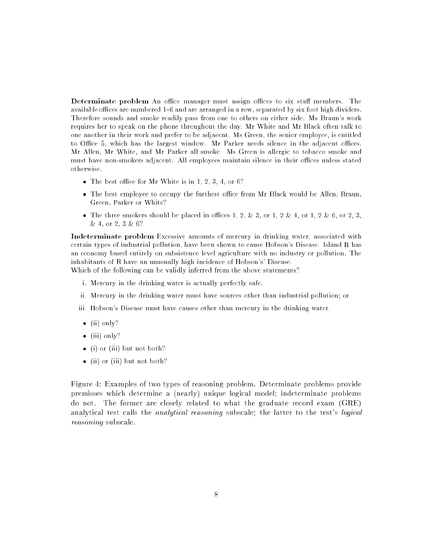Determinate problem An office manager must assign offices to six staff members. The available offices are numbered  $1{-}6$  and are arranged in a row, separated by six foot high dividers. Therefore sounds and smoke readily pass from one to others on either side. Ms Braun's work requires her to speak on the phone throughout the day. Mr White and Mr Black often talk to one another in their work and prefer to be adjacent. Ms Green, the senior employee, is entitled to Office 5, which has the largest window. Mr Parker needs silence in the adjacent offices. Mr Allen, Mr White, and Mr Parker all smoke. Ms Green is allergic to tobacco smoke and must have non-smokers adjacent. All employees maintain silence in their offices unless stated otherwise.

- $\bullet$  The best office for Mr White is in 1, 2, 3, 4, or 6?
- The best employee to occupy the furthest office from Mr Black would be Allen, Braun, Green, Parker or White?
- The three smokers should be placed in offices 1, 2, & 3, or 1, 2 & 4, or 1, 2 & 6, or 2, 3, & 4, or 2, 3 & 6?

Indeterminate problem Excessive amounts of mercury in drinking water, associated with certain types of industrial pollution, have been shown to cause Hobson's Disease. Island R has an economy based entirely on subsistence level agriculture with no industry or pollution. The inhabitants of R have an unusually high incidence of Hobson's' Disease.

Which of the following can be validly inferred from the above statements?

- i. Mercury in the drinking water is actually perfectly safe.
- ii. Mercury in the drinking water must have sources other than industrial pollution; or
- iii. Hobson's Disease must have causes other than mercury in the drinking water.
- $\bullet$  (ii) only?
- $\bullet$  (iii) only?
- (i) or (iii) but not both?
- (ii) or (iii) but not both?

Figure 4: Examples of two types of reasoning problem. Determinate problems provide premisses which determine a (nearly) unique logical model; indeterminate problems do not. The former are closely related to what the graduate record exam (GRE) analytical test calls the *analytical reasoning* subscale; the latter to the test's *logical* reasoning subscale.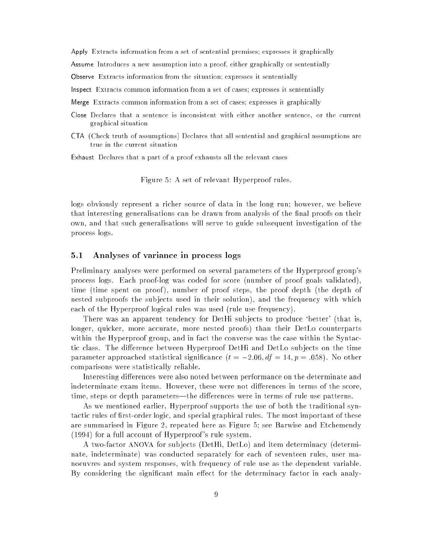Apply Extracts information from a set of sentential premises; expresses it graphically

Assume Introduces a new assumption into a proof, either graphically or sententially

Observe Extracts information from the situation; expresses it sententially

Inspect Extracts common information from a set of cases; expresses it sententially

Merge Extracts common information from a set of cases; expresses it graphically

- Close Declares that a sentence is inconsistent with either another sentence, or the current graphical situation
- CTA (Check truth of assumptions) Declares that all sentential and graphical assumptions are true in the current situation

Exhaust Declares that a part of a proof exhausts all the relevant cases

Figure 5: A set of relevant Hyperproof rules.

logs obviously represent a richer source of data in the long run; however, we believe that interesting generalisations can be drawn from analysis of the final proofs on their own, and that such generalisations will serve to guide subsequent investigation of the process logs.

#### $5.1$ 5.1 Analyses of variance in process logs

Preliminary analyses were performed on several parameters of the Hyperproof group's process logs. Each proof-log was coded for score (number of proof goals validated), time (time spent on proof ), number of proof steps, the proof depth (the depth of nested subproofs the sub jects used in their solution), and the frequency with which each of the Hyperproof logical rules was used (rule use frequency).

There was an apparent tendency for DetHi subjects to produce 'better' (that is, longer, quicker, more accurate, more nested proofs) than their DetLo counterparts within the Hyperproof group, and in fact the converse was the case within the Syntactic class. The difference between Hyperproof DetHi and DetLo subjects on the time parameter approached statistical significance  $(t = -2.06, df = 14, p = .058)$ . No other comparisons were statistically reliable.

Interesting differences were also noted between performance on the determinate and indeterminate exam items. However, these were not differences in terms of the score, time, steps or depth parameters—the differences were in terms of rule use patterns.

As we mentioned earlier, Hyperproof supports the use of both the traditional syntactic rules of first-order logic, and special graphical rules. The most important of these are summarised in Figure 2, repeated here as Figure 5; see Barwise and Etchemendy (1994) for a full account of Hyperproof 's rule system.

A two-factor ANOVA for sub jects (DetHi, DetLo) and item determinacy (determinate, indeterminate) was conducted separately for each of seventeen rules, user manoeuvres and system responses, with frequency of rule use as the dependent variable. By considering the significant main effect for the determinacy factor in each analy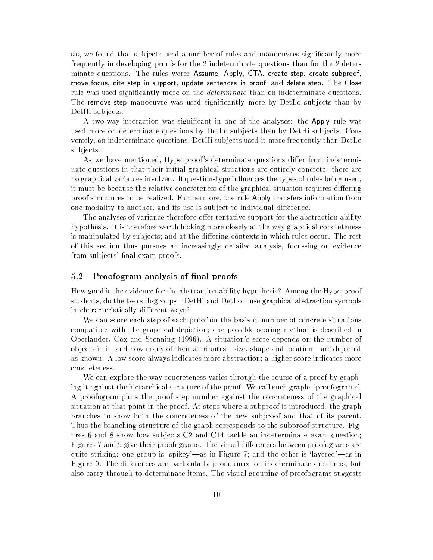sis, we found that subjects used a number of rules and manoeuvres significantly more frequently in developing proofs for the 2 indeterminate questions than for the 2 determinate questions. The rules were: Assume, Apply, CTA, create step, create subproof, move focus, cite step in support, update sentences in proof, and delete step. The Close rule was used significantly more on the *determinate* than on indeterminate questions. The remove step manoeuvre was used signicantly more by DetLo sub jects than by DetHi sub jects.

A two-way interaction was signicant in one of the analyses: the Apply rule was used more on determinate questions by DetLo sub jects than by DetHi sub jects. Conversely, on indeterminate questions, DetHi sub jects used it more frequently than DetLo sub jects.

As we have mentioned, Hyperproof's determinate questions differ from indeterminate questions in that their initial graphical situations are entirely concrete: there are no graphical variables involved. If question-type influences the types of rules being used. it must be because the relative concreteness of the graphical situation requires differing proof structures to be realized. Furthermore, the rule Apply transfers information from one modality to another, and its use is subject to individual difference.

The analyses of variance therefore offer tentative support for the abstraction ability hypothesis. It is therefore worth looking more closely at the way graphical concreteness is manipulated by subjects; and at the differing contexts in which rules occur. The rest of this section thus pursues an increasingly detailed analysis, focussing on evidence from subjects' final exam proofs.

### 5.2 Proofogram analysis of final proofs

How good is the evidence for the abstraction ability hypothesis? Among the Hyperproof students, do the two sub-groups—DetHi and DetLo—use graphical abstraction symbols in characteristically different ways?

We can score each step of each proof on the basis of number of concrete situations compatible with the graphical depiction; one possible scoring method is described in Oberlander, Cox and Stenning (1996). A situation's score depends on the number of objects in it, and how many of their attributes—size, shape and location—are depicted as known. A low score always indicates more abstraction; a higher score indicates more concreteness.

We can explore the way concreteness varies through the course of a proof by graphing it against the hierarchical structure of the proof. We call such graphs `proofograms'. A proofogram plots the proof step number against the concreteness of the graphical situation at that point in the proof. At steps where a subproof is introduced, the graph branches to show both the concreteness of the new subproof and that of its parent. Thus the branching structure of the graph corresponds to the subproof structure. Figures 6 and 8 show how sub jects C2 and C14 tackle an indeterminate exam question; Figures 7 and 9 give their proofograms. The visual differences between proofograms are quite striking: one group is 'spikey'—as in Figure 7; and the other is 'layered'—as in Figure 9. The differences are particularly pronounced on indeterminate questions, but also carry through to determinate items. The visual grouping of proofograms suggests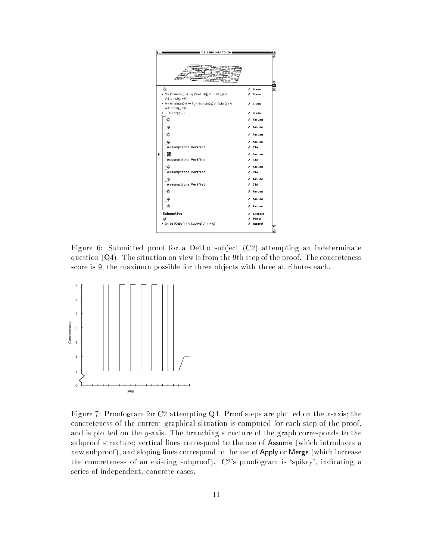![](_page_10_Figure_0.jpeg)

Figure 6: Submitted proof for a DetLo subject (C2) attempting an indeterminate question  $(Q4)$ . The situation on view is from the 9th step of the proof. The concreteness score is 9, the maximun possible for three ob jects with three attributes each.

![](_page_10_Figure_2.jpeg)

Figure 7: Proofogram for C2 attempting  $Q4$ . Proof steps are plotted on the x-axis; the concreteness of the current graphical situation is computed for each step of the proof, and is plotted on the y-axis. The branching structure of the graph corresponds to the subproof structure; vertical lines correspond to the use of Assume (which introduces a new subproof), and sloping lines correspond to the use of Apply or Merge (which increase the concreteness of an existing subproof). C2's proofogram is 'spikey', indicating a series of independent, concrete cases.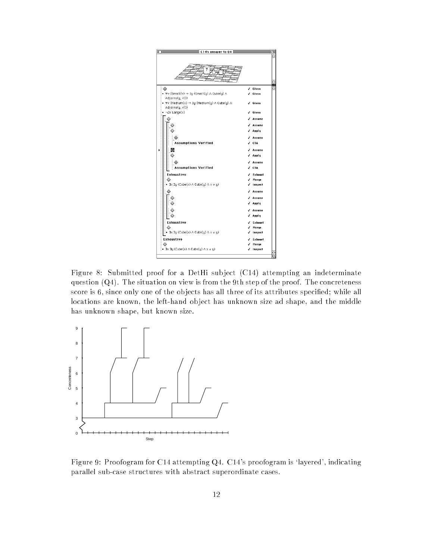![](_page_11_Figure_0.jpeg)

Figure 8: Submitted proof for a DetHi sub ject (C14) attempting an indeterminate question  $(Q4)$ . The situation on view is from the 9th step of the proof. The concreteness score is 6, since only one of the objects has all three of its attributes specified; while all locations are known, the left-hand ob ject has unknown size ad shape, and the middle has unknown shape, but known size.

![](_page_11_Figure_2.jpeg)

Figure 9: Proofogram for C14 attempting Q4. C14's proofogram is 'layered', indicating parallel sub-case structures with abstract superordinate cases.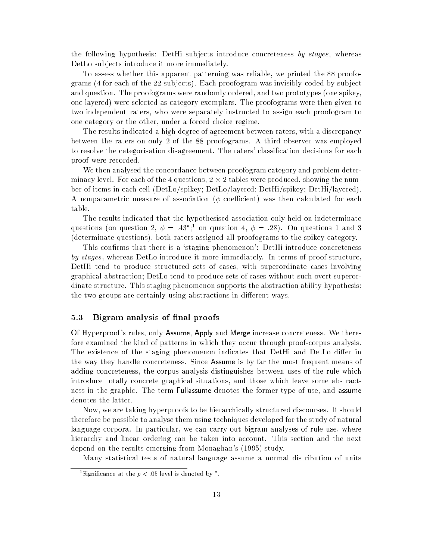the following hypothesis: DetHi subjects introduce concreteness by stages, whereas DetLo sub jects introduce it more immediately.

To assess whether this apparent patterning was reliable, we printed the 88 proofograms (4 for each of the 22 sub jects). Each proofogram was invisibly coded by sub ject and question. The proofograms were randomly ordered, and two prototypes (one spikey, one layered) were selected as category exemplars. The proofograms were then given to two independent raters, who were separately instructed to assign each proofogram to one category or the other, under a forced choice regime.

The results indicated a high degree of agreement between raters, with a discrepancy between the raters on only 2 of the 88 proofograms. A third observer was employed to resolve the categorisation disagreement. The raters' classication decisions for each proof were recorded.

We then analysed the concordance between proofogram category and problem determinacy level. For each of the 4 questions, 2 - 1 tables were produced, showing the number ber of items in each cell (DetLo/spikey; DetLo/layered; DetHi/spikey; DetHi/layered). A nonparametric measure of association ( $\phi$  coefficient) was then calculated for each table.

The results indicated that the hypothesised association only held on indeterminate questions (on question 2,  $\phi = .43$ <sup>\*</sup>;<sup>1</sup> on question 4,  $\phi = .28$ ). On questions 1 and 3 (determinate questions), both raters assigned all proofograms to the spikey category.

This confirms that there is a 'staging phenomenon': DetHi introduce concreteness by stages, whereas DetLo introduce it more immediately. In terms of proof structure, DetHi tend to produce structured sets of cases, with superordinate cases involving graphical abstraction; DetLo tend to produce sets of cases without such overt superordinate structure. This staging phenomenon supports the abstraction ability hypothesis: the two groups are certainly using abstractions in different ways.

#### 5.3 Bigram analysis of final proofs

Of Hyperproof 's rules, only Assume, Apply and Merge increase concreteness. We therefore examined the kind of patterns in which they occur through proof-corpus analysis. The existence of the staging phenomenon indicates that DetHi and DetLo differ in the way they handle concreteness. Since Assume is by far the most frequent means of adding concreteness, the corpus analysis distinguishes between uses of the rule which introduce totally concrete graphical situations, and those which leave some abstractness in the graphic. The term Fullassume denotes the former type of use, and assume denotes the latter.

Now, we are taking hyperproofs to be hierarchically structured discourses. It should therefore be possible to analyse them using techniques developed for the study of natural language corpora. In particular, we can carry out bigram analyses of rule use, where hierarchy and linear ordering can be taken into account. This section and the next depend on the results emerging from Monaghan's (1995) study.

Many statistical tests of natural language assume a normal distribution of units

 $\lceil$  Significance at the  $p < 0.05$  level is denoted by  $\lceil$  .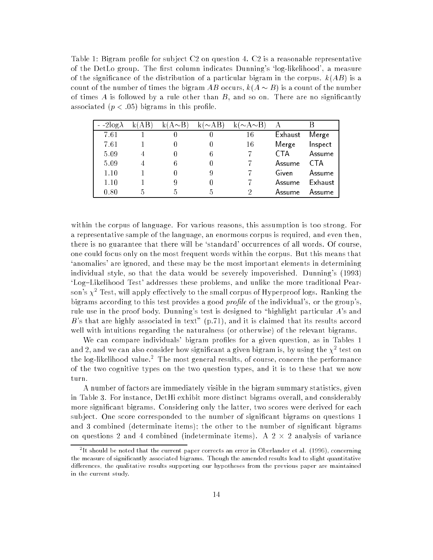Table 1: Bigram profile for subject  $C2$  on question 4.  $C2$  is a reasonable representative of the DetLo group. The first column indicates Dunning's 'log-likelihood', a measure of the significance of the distribution of a particular bigram in the corpus.  $k(AB)$  is a count of the number of times the bigram AB occurs,  $k(A \sim B)$  is a count of the number of times  $A$  is followed by a rule other than  $B$ , and so on. There are no significantly associated  $(p < .05)$  bigrams in this profile.

| $-2\log\lambda$ | k(AB | (A $\sim$ B) | $k(\sim AB)$ | $(\sim\!\mathrm{A}\!\sim\!\mathrm{B})$ | А       |                |
|-----------------|------|--------------|--------------|----------------------------------------|---------|----------------|
| 7.61            |      |              |              | 16                                     | Exhaust | Merge          |
| 7.61            |      |              |              | 16                                     | Merge   | Inspect        |
| 5.09            | 4    |              | 6            |                                        | CTA     | Assume         |
| 5.09            |      |              |              |                                        | Assume  | CTA            |
| 1.10            |      |              | 9            |                                        | Given   | Assume         |
| 1.10            |      |              |              |                                        | Assume  | <b>Exhaust</b> |
| 0.80            |      |              | h,           | റ                                      | Assume  | Assume         |

within the corpus of language. For various reasons, this assumption is too strong. For a representative sample of the language, an enormous corpus is required, and even then, there is no guarantee that there will be 'standard' occurrences of all words. Of course, one could focus only on the most frequent words within the corpus. But this means that `anomalies' are ignored, and these may be the most important elements in determining individual style, so that the data would be severely impoverished. Dunning's (1993) 'Log-Likelihood Test' addresses these problems, and unlike the more traditional Pearson's  $\chi^2$  Test, will apply effectively to the small corpus of Hyperproof logs. Ranking the bigrams according to this test provides a good *profile* of the individual's, or the group's. rule use in the proof body. Dunning's test is designed to "highlight particular A's and B's that are highly associated in text"  $(p.71)$ , and it is claimed that its results accord well with intuitions regarding the naturalness (or otherwise) of the relevant bigrams.

We can compare individuals' bigram profiles for a given question, as in Tables 1 and 2, and we can also consider now significant a given bigram is, by using the  $\chi^2$  test on the log-likelihood value. In the most general results, of course, concern the performance of the two cognitive types on the two question types, and it is to these that we now turn

A number of factors are immediately visible in the bigram summary statistics, given in Table 3. For instance, DetHi exhibit more distinct bigrams overall, and considerably more significant bigrams. Considering only the latter, two scores were derived for each subject. One score corresponded to the number of significant bigrams on questions 1 and 3 combined (determinate items); the other to the number of significant bigrams on questions 2 and 4 combined (indeterminate items). A 2 - 2 analysis of variance

<sup>2</sup> It should be noted that the current paper corrects an error in Oberlander et al. (1996), concerning the measure of signicantly associated bigrams. Though the amended results lead to slight quantitative dierences, the dieterences is resulted our hypotheses from the maintain are three than the present maintained in the current study.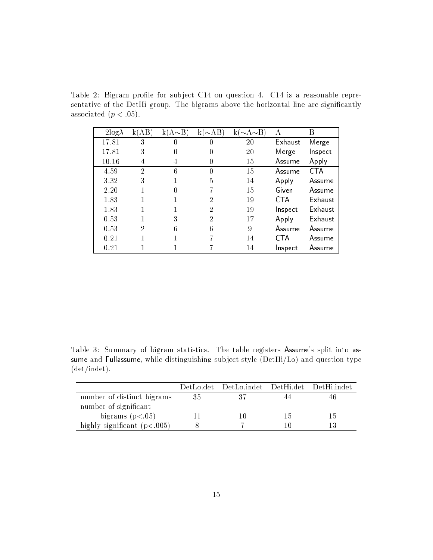Table 2: Bigram profile for subject C14 on question 4. C14 is a reasonable representative of the DetHi group. The bigrams above the horizontal line are significantly associated  $(p < .05)$ .

| $-2\log\lambda$ | AВ<br>k١ | $k(A \sim B)$ | $\sim$ AB<br>k.  | $\sim$ A $\sim$ B | А       | В          |
|-----------------|----------|---------------|------------------|-------------------|---------|------------|
| 17.81           | 3        |               | $\left( \right)$ | 20                | Exhaust | Merge      |
| 17.81           | 3        |               | 0                | 20                | Merge   | Inspect    |
| 10.16           | 4        | 4             | $\left( \right)$ | 15                | Assume  | Apply      |
| 4.59            | 2        | 6             | 0                | 15                | Assume  | <b>CTA</b> |
| 3.32            | 3        |               | 5                | 14                | Apply   | Assume     |
| 2.20            |          |               |                  | 15                | Given   | Assume     |
| 1.83            |          |               | 2                | 19                | CTA     | Exhaust    |
| 1.83            |          |               | 2                | 19                | Inspect | Exhaust    |
| 0.53            |          | 3             | 2                | 17                | Apply   | Exhaust    |
| 0.53            | 2        | 6             | 6                | 9                 | Assume  | Assume     |
| 0.21            |          |               |                  | 14                | CTA     | Assume     |
| 0.21            |          |               |                  | 14                | Inspect | Assume     |

Table 3: Summary of bigram statistics. The table registers Assume's split into assume and Fullassume, while distinguishing sub ject-style (DetHi/Lo) and question-type (det/indet).

|                                |         | DetLo.det DetLo.indet DetHi.det DetHi.indet |     |    |
|--------------------------------|---------|---------------------------------------------|-----|----|
| number of distinct bigrams     | 35      | 37                                          |     |    |
| number of significant          |         |                                             |     |    |
| bigrams $(p<.05)$              | $\perp$ |                                             | Lh. | 15 |
| highly significant $(p < 005)$ |         |                                             |     |    |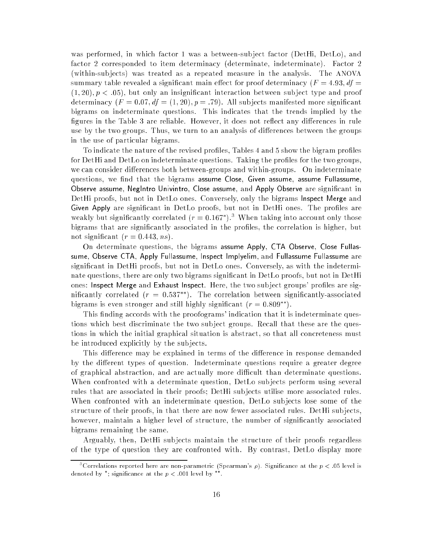was performed, in which factor 1 was a between-subject factor (DetHi, DetLo), and factor 2 corresponded to item determinacy (determinate, indeterminate). Factor 2 (within-sub jects) was treated as a repeated measure in the analysis. The ANOVA summary table revealed a significant main effect for proof determinacy  $(F = 4.93, df =$  $(1, 20), p < .05$ , but only an insignificant interaction between subject type and proof determinacy  $(F = 0.07, df = (1, 20), p = .79)$ . All subjects manifested more significant bigrams on indeterminate questions. This indicates that the trends implied by the figures in the Table 3 are reliable. However, it does not reflect any differences in rule use by the two groups. Thus, we turn to an analysis of differences between the groups in the use of particular bigrams.

To indicate the nature of the revised profiles, Tables 4 and 5 show the bigram profiles for DetHi and DetLo on indeterminate questions. Taking the profiles for the two groups, we can consider differences both between-groups and within-groups. On indeterminate questions, we find that the bigrams assume Close, Given assume, assume Fullassume, Observe assume, NegIntro Univintro, Close assume, and Apply Observe are signicant in DetHi proofs, but not in DetLo ones. Conversely, only the bigrams Inspect Merge and Given Apply are significant in DetLo proofs, but not in DetHi ones. The profiles are weakly but significantly correlated ( $r = 0.167$  ). When taking into account only those bigrams that are significantly associated in the profiles, the correlation is higher, but not significant  $(r = 0.443, ns)$ .

On determinate questions, the bigrams assume Apply, CTA Observe, Close Fullassume, Observe CTA, Apply Fullassume, Inspect Implyelim, and Fullassume Fullassume are signicant in DetHi proofs, but not in DetLo ones. Conversely, as with the indeterminate questions, there are only two bigrams significant in DetLo proofs, but not in DetHi ones: Inspect Merge and Exhaust Inspect. Here, the two subject groups' profiles are significantly correlated  $(r = 0.537**)$ . The correlation between significantly-associated bigrams is even stronger and still highly significant  $(r = 0.809^{**})$ .

This finding accords with the proofograms' indication that it is indeterminate questions which best discriminate the two sub ject groups. Recall that these are the questions in which the initial graphical situation is abstract, so that all concreteness must be introduced explicitly by the sub jects.

This difference may be explained in terms of the difference in response demanded by the different types of question. Indeterminate questions require a greater degree of graphical abstraction, and are actually more difficult than determinate questions. When confronted with a determinate question, DetLo sub jects perform using several rules that are associated in their proofs; DetHi sub jects utilise more associated rules. When confronted with an indeterminate question, DetLo sub jects lose some of the structure of their proofs, in that there are now fewer associated rules. DetHi sub jects, however, maintain a higher level of structure, the number of significantly associated bigrams remaining the same.

Arguably, then, DetHi sub jects maintain the structure of their proofs regardless of the type of question they are confronted with. By contrast, DetLo display more

<sup>&</sup>lt;sup>3</sup>Correlations reported here are non-parametric (Spearman's  $\rho$ ). Significance at the  $p < .05$  level is denoted by ; significance at the  $p < 0.01$  level by ...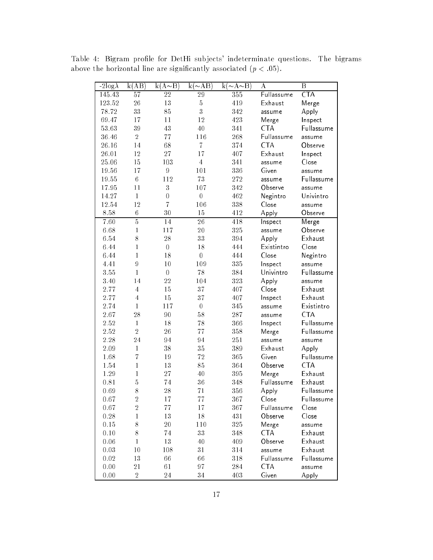| $-2\log\lambda$ | k(AB)          | $k(A \sim B)$    | $k(\sim AB)$     | $k(\sim A \sim \overline{B})$ | А          | $\boldsymbol{B}$        |
|-----------------|----------------|------------------|------------------|-------------------------------|------------|-------------------------|
| 145.43          | 57             | 22               | 29               | 355                           | Fullassume | $\overline{\text{CTA}}$ |
| 123.52          | 26             | 13               | $\overline{5}$   | 419                           | Exhaust    | Merge                   |
| 78.72           | 33             | 85               | 3                | 342                           | assume     | Apply                   |
| 69.47           | 17             | 11               | 12               | 423                           | Merge      | Inspect                 |
| 53.63           | 39             | 43               | 40               | 341                           | <b>CTA</b> | Fullassume              |
| 36.46           | $\overline{2}$ | 77               | 116              | 268                           | Fullassume | assume                  |
| 26.16           | 14             | 68               | $\overline{7}$   | 374                           | <b>CTA</b> | Observe                 |
| 26.01           | 12             | 27               | 17               | 407                           | Exhaust    | Inspect                 |
| 25.06           | 15             | 103              | $\overline{4}$   | 341                           | assume     | Close                   |
| 19.56           | 17             | $\boldsymbol{9}$ | 101              | 336                           | Given      | assume                  |
| 19.55           | 6              | 112              | 73               | $27\sqrt{2}$                  | assume     | Fullassume              |
| 17.95           | 11             | $\sqrt{3}$       | 107              | 342                           | Observe    | assume                  |
| 14.27           | $\mathbf{1}$   | $\boldsymbol{0}$ | $\overline{0}$   | 462                           | Negintro   | Univintro               |
| 12.54           | 12             | $\overline{7}$   | 106              | 338                           | Close      | assume                  |
| 8.58            | $\,6$          | 30               | 15               | 412                           | Apply      | Observe                 |
| 7.60            | $\overline{5}$ | 14               | 26               | 418                           | Inspect    | Merge                   |
| 6.68            | $\mathbf{1}$   | 117              | 20               | 325                           | assume     | Observe                 |
| 6.54            | 8              | 28               | 33               | 394                           | Apply      | Exhaust                 |
| 6.44            | $\mathbf{1}$   | $\boldsymbol{0}$ | 18               | 444                           | Existintro | Close                   |
| 6.44            | $\mathbf{1}$   | 18               | $\boldsymbol{0}$ | 444                           | Close      | Negintro                |
| 4.41            | 9              | 10               | 109              | 335                           | Inspect    | assume                  |
| 3.55            | $\mathbf{1}$   | $\boldsymbol{0}$ | 78               | 384                           | Univintro  | Fullassume              |
| 3.40            | 14             | 22               | 104              | 323                           | Apply      | assume                  |
| 2.77            | $\overline{4}$ | 15               | 37               | 407                           | Close      | Exhaust                 |
| 2.77            | $\overline{4}$ | $15\,$           | 37               | 407                           | Inspect    | Exhaust                 |
| 2.74            | $\mathbf{1}$   | 117              | $\boldsymbol{0}$ | 345                           | assume     | Existintro              |
| 2.67            | 28             | 90               | 58               | 287                           | assume     | <b>CTA</b>              |
| $2.52\,$        | $\mathbf{1}$   | 18               | 78               | 366                           | Inspect    | Fullassume              |
| $2.52\,$        | $\overline{2}$ | 26               | 77               | 358                           | Merge      | Fullassume              |
| $2.28\,$        | 24             | 94               | 94               | $25\sqrt{1}$                  | assume     | assume                  |
| $2.09\,$        | $\mathbf{1}$   | $38\,$           | 35               | 389                           | Exhaust    | Apply                   |
| 1.68            | $\overline{7}$ | 19               | $72\,$           | 365                           | Given      | Fullassume              |
| 1.54            | $\mathbf{1}$   | 13               | 85               | 364                           | Observe    | <b>CTA</b>              |
| 1.29            | $\mathbf{1}$   | 27               | 40               | 395                           | Merge      | Exhaust                 |
| 0.81            | $\overline{5}$ | 74               | 36               | 348                           | Fullassume | Exhaust                 |
| 0.69            | 8              | 28               | $7\sqrt{1}$      | 356                           | Apply      | Fullassume              |
| 0.67            | $\overline{2}$ | $17\,$           | 77               | 367                           | Close      | Fullassume              |
| 0.67            | $\overline{2}$ | $7\,7$           | 17               | 367                           | Fullassume | Close                   |
| $0.28\,$        | $\mathbf{1}$   | $13\,$           | $18\,$           | 431                           | Observe    | Close                   |
| $0.15\,$        | $8\,$          | $20\,$           | 110              | $325\,$                       | Merge      | assume                  |
| $0.10\,$        | 8              | 74               | 33               | $348\,$                       | <b>CTA</b> | Exhaust                 |
| 0.06            | $\mathbf{1}$   | $13\,$           | $40\,$           | 409                           | Observe    | Exhaust                 |
| 0.03            | 10             | 108              | $31\,$           | $314\,$                       | assume     | Exhaust                 |
| $0.02\,$        | $13\,$         | 66               | 66               | 318                           | Fullassume | Fullassume              |
| 0.00            | $2\sqrt{1}$    | 61               | 97               | 284                           | <b>CTA</b> | assume                  |
| 0.00            | $\overline{2}$ | $\sqrt{24}$      | $34\,$           | 403                           | Given      | Apply                   |

Table 4: Bigram profile for DetHi subjects' indeterminate questions. The bigrams above the horizontal line are significantly associated  $(p < .05)$ .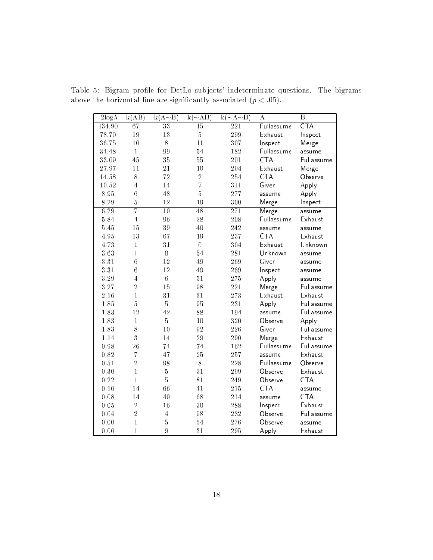| $-2\log\lambda$ | k(AB)            | $k(A \sim B)$  | $k(\sim AB)$   | $k(\sim A \sim B)$ | $\bf{A}$   | B                       |
|-----------------|------------------|----------------|----------------|--------------------|------------|-------------------------|
| 134.90          | 67               | 33             | 15             | $\overline{221}$   | Fullassume | $\overline{\text{CTA}}$ |
| 78.70           | 19               | 13             | $\bf 5$        | 299                | Exhaust    | Inspect                 |
| 36.75           | 10               | 8              | 11             | 307                | Inspect    | Merge                   |
| 34.48           | $\mathbf{1}$     | 99             | $\sqrt{54}$    | 182                | Fullassume | assume                  |
| 33.09           | 45               | 35             | 55             | 201                | <b>CTA</b> | Fullassume              |
| 27.97           | 11               | 21             | 10             | 294                | Exhaust    | Merge                   |
| 14.58           | 8                | 72             | $\sqrt{2}$     | 254                | <b>CTA</b> | Observe                 |
| 10.52           | $\overline{4}$   | 14             | $\overline{7}$ | 311                | Given      | Apply                   |
| 8.95            | $\ddot{6}$       | 48             | $\bf 5$        | 277                | assume     | Apply                   |
| 8.29            | $\overline{5}$   | 12             | 19             | 300                | Merge      | Inspect                 |
| 6.29            | $\overline{7}$   | 10             | 48             | 271                | Merge      | assume                  |
| 5.84            | $\overline{4}$   | 96             | 28             | 208                | Fullassume | Exhaust                 |
| 5.45            | 15               | 39             | 40             | 242                | assume     | assume                  |
| 4.95            | 13               | 67             | 19             | 237                | <b>CTA</b> | Exhaust                 |
| 4.73            | $\mathbf 1$      | 31             | $\overline{0}$ | 304                | Exhaust    | Unknown                 |
| 363             | $\mathbf{1}$     | $\overline{0}$ | 54             | 281                | Unknown    | assume                  |
| 3.31            | $\boldsymbol{6}$ | 12             | 49             | 269                | Given      | assume                  |
| 3.31            | $\ddot{6}$       | 12             | 49             | 269                | Inspect    | assume                  |
| 3.29            | $\overline{4}$   | $\,6$          | 51             | 275                | Apply      | assume                  |
| 3.27            | $\overline{2}$   | 15             | 98             | 221                | Merge      | Fullassume              |
| 2.16            | $\mathbf{1}$     | 31             | 31             | 273                | Exhaust    | Exhaust                 |
| 1.85            | $\overline{5}$   | $\overline{5}$ | 95             | 231                | Apply      | Fullassume              |
| 1.83            | 12               | 42             | 88             | 194                | assume     | Fullassume              |
| 1.83            | $\mathbf{1}$     | $\overline{5}$ | 10             | 320                | Observe    | Apply                   |
| 1.83            | 8                | 10             | 92             | 226                | Given      | Fullassume              |
| 1.14            | 3                | 14             | $\sqrt{29}$    | 290                | Merge      | Exhaust                 |
| 0.98            | 26               | 74             | 74             | 162                | Fullassume | Fullassume              |
| 0.82            | $\overline{7}$   | 47             | 25             | 257                | assume     | Exhaust                 |
| 0.51            | $\overline{2}$   | 98             | 8              | 228                | Fullassume | Observe                 |
| 0.30            | $\mathbf{1}$     | $\bf 5$        | 31             | 299                | Observe    | Exhaust                 |
| 0.22            | $\overline{1}$   | $\overline{5}$ | 81             | 249                | Observe    | <b>CTA</b>              |
| 0.10            | 14               | 66             | 41             | 215                | <b>CTA</b> | assume                  |
| 0.08            | 14               | 40             | 68             | 214                | assume     | <b>CTA</b>              |
| 0.05            | $\overline{2}$   | 16             | $30\,$         | 288                | Inspect    | Exhaust                 |
| 0.04            | $\overline{2}$   | $\overline{4}$ | 98             | 232                | Observe    | Fullassume              |
| 0.00            | $\mathbf{1}$     | $\overline{5}$ | 54             | 276                | Observe    | assume                  |
| 0.00            | $\overline{1}$   | 9              | 31             | 295                | Apply      | Exhaust                 |

Table 5: Bigram profile for DetLo subjects' indeterminate questions. The bigrams above the horizontal line are significantly associated  $(p < .05)$ .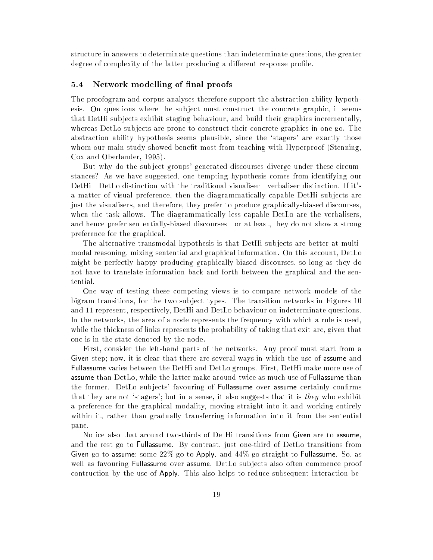structure in answers to determinate questions than indeterminate questions, the greater degree of complexity of the latter producing a different response profile.

#### 5.4 Network modelling of final proofs

The proofogram and corpus analyses therefore support the abstraction ability hypothesis. On questions where the subject must construct the concrete graphic, it seems that DetHi sub jects exhibit staging behaviour, and build their graphics incrementally, whereas DetLo subjects are prone to construct their concrete graphics in one go. The abstraction ability hypothesis seems plausible, since the `stagers' are exactly those whom our main study showed benefit most from teaching with Hyperproof (Stenning, Cox and Oberlander, 1995).

But why do the sub ject groups' generated discourses diverge under these circumstances? As we have suggested, one tempting hypothesis comes from identifying our DetHi-DetLo distinction with the traditional visualiser-verbaliser distinction. If it's a matter of visual preference, then the diagrammatically capable DetHi sub jects are just the visualisers, and therefore, they prefer to produce graphically-biased discourses, when the task allows. The diagrammatically less capable DetLo are the verbalisers, and hence prefer sententially-biased discourses—or at least, they do not show a strong preference for the graphical.

The alternative transmodal hypothesis is that DetHi sub jects are better at multimodal reasoning, mixing sentential and graphical information. On this account, DetLo might be perfectly happy producing graphically-biased discourses, so long as they do not have to translate information back and forth between the graphical and the sentential.

One way of testing these competing views is to compare network models of the bigram transitions, for the two sub ject types. The transition networks in Figures 10 and 11 represent, respectively, DetHi and DetLo behaviour on indeterminate questions. In the networks, the area of a node represents the frequency with which a rule is used, while the thickness of links represents the probability of taking that exit arc, given that one is in the state denoted by the node.

First, consider the left-hand parts of the networks. Any proof must start from a Given step; now, it is clear that there are several ways in which the use of assume and Fullassume varies between the DetHi and DetLo groups. First, DetHi make more use of assume than DetLo, while the latter make around twice as much use of Fullassume than the former. DetLo subjects' favouring of Fullassume over assume certainly confirms that they are not 'stagers'; but in a sense, it also suggests that it is they who exhibit a preference for the graphical modality, moving straight into it and working entirely within it, rather than gradually transferring information into it from the sentential pane. pane.

Notice also that around two-thirds of DetHi transitions from Given are to assume, and the rest go to Fullassume. By contrast, just one-third of DetLo transitions from Given go to assume; some  $22\%$  go to Apply, and  $44\%$  go straight to Fullassume. So, as well as favouring **Fullassume** over **assume**, DetLo subjects also often commence proof contruction by the use of Apply. This also helps to reduce subsequent interaction be-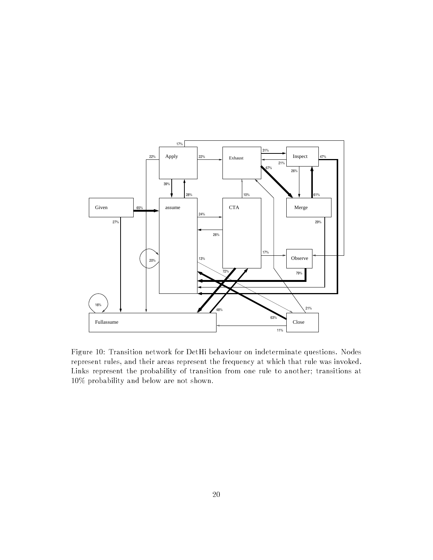![](_page_19_Figure_0.jpeg)

Figure 10: Transition network for DetHi behaviour on indeterminate questions. Nodes represent rules, and their areas represent the frequency at which that rule was invoked. Links represent the probability of transition from one rule to another; transitions at 10% probability and below are not shown.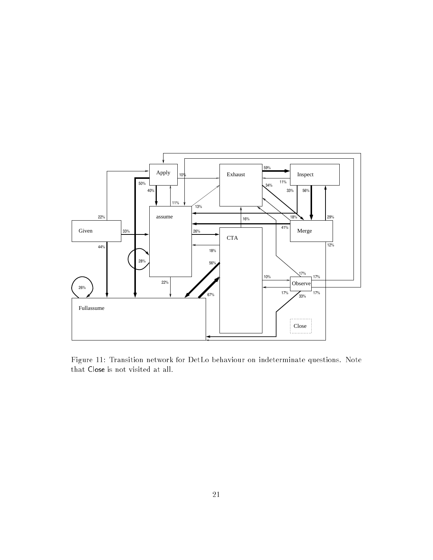![](_page_20_Figure_0.jpeg)

Figure 11: Transition network for DetLo behaviour on indeterminate questions. Note that Close is not visited at all.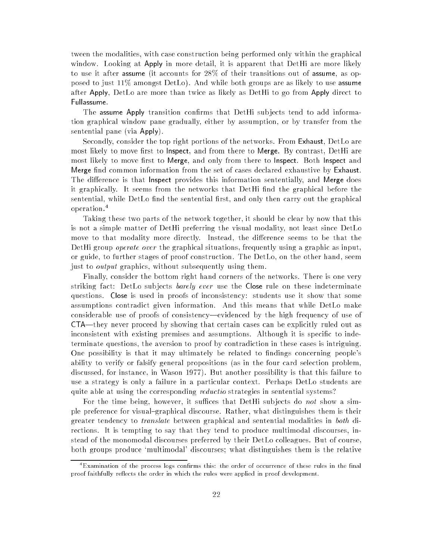tween the modalities, with case construction being performed only within the graphical window. Looking at Apply in more detail, it is apparent that DetHi are more likely to use it after assume (it accounts for 28% of their transitions out of assume, as opposed to just 11% amongst DetLo). And while both groups are as likely to use assume after Apply, DetLo are more than twice as likely as DetHi to go from Apply direct to Fullassume.

The assume Apply transition confirms that DetHi subjects tend to add information graphical window pane gradually, either by assumption, or by transfer from the sentential pane (via Apply).

Secondly, consider the top right portions of the networks. From Exhaust, DetLo are most likely to move first to Inspect, and from there to Merge. By contrast, DetHi are most likely to move first to Merge, and only from there to Inspect. Both Inspect and Merge find common information from the set of cases declared exhaustive by Exhaust. The difference is that Inspect provides this information sententially, and Merge does it graphically. It seems from the networks that DetHi find the graphical before the sentential, while DetLo find the sentential first, and only then carry out the graphical operation.<sup>4</sup>

Taking these two parts of the network together, it should be clear by now that this is not a simple matter of DetHi preferring the visual modality, not least since DetLo move to that modality more directly. Instead, the difference seems to be that the DetHi group *operate over* the graphical situations, frequently using a graphic as input, or guide, to further stages of proof construction. The DetLo, on the other hand, seem just to output graphics, without subsequently using them.

Finally, consider the bottom right hand corners of the networks. There is one very striking fact: DetLo subjects *barely ever* use the Close rule on these indeterminate questions. Close is used in proofs of inconsistency: students use it show that some assumptions contradict given information. And this means that while DetLo make considerable use of proofs of consistency—evidenced by the high frequency of use of  $\text{CTA}$ —they never proceed by showing that certain cases can be explicitly ruled out as inconsistent with existing premises and assumptions. Although it is specific to indeterminate questions, the aversion to proof by contradiction in these cases is intriguing. One possibility is that it may ultimately be related to findings concerning people's ability to verify or falsify general propositions (as in the four card selection problem, discussed, for instance, in Wason 1977). But another possibility is that this failure to use a strategy is only a failure in a particular context. Perhaps DetLo students are quite able at using the corresponding *reductio* strategies in sentential systems?

For the time being, however, it suffices that DetHi subjects do not show a simple preference for visual-graphical discourse. Rather, what distinguishes them is their greater tendency to translate between graphical and sentential modalities in both directions. It is tempting to say that they tend to produce multimodal discourses, instead of the monomodal discourses preferred by their DetLo colleagues. But of course, both groups produce `multimodal' discourses; what distinguishes them is the relative

<sup>-</sup>Examination of the process logs confirms this: the order of occurrence of these rules in the final proof faithfully reflects the order in which the rules were applied in proof development.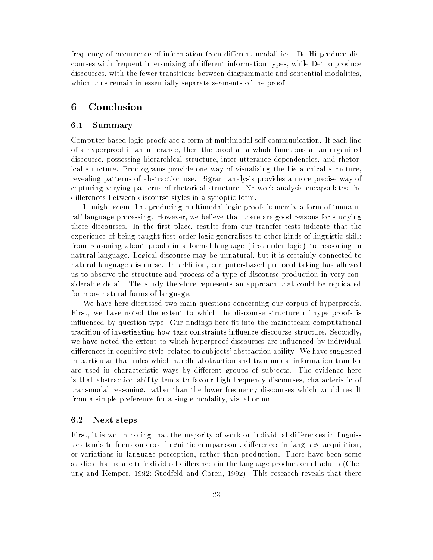frequency of occurrence of information from different modalities. DetHi produce discourses with frequent inter-mixing of different information types, while DetLo produce discourses, with the fewer transitions between diagrammatic and sentential modalities, which thus remain in essentially separate segments of the proof.

### 6 Conclusion

#### 6.1 Summary

Computer-based logic proofs are a form of multimodal self-communication. If each line of a hyperproof is an utterance, then the proof as a whole functions as an organised discourse, possessing hierarchical structure, inter-utterance dependencies, and rhetorical structure. Proofograms provide one way of visualising the hierarchical structure, revealing patterns of abstraction use. Bigram analysis provides a more precise way of capturing varying patterns of rhetorical structure. Network analysis encapsulates the differences between discourse styles in a synoptic form.

It might seem that producing multimodal logic proofs is merely a form of `unnatural' language processing. However, we believe that there are good reasons for studying these discourses. In the first place, results from our transfer tests indicate that the experience of being taught first-order logic generalises to other kinds of linguistic skill: from reasoning about proofs in a formal language (first-order logic) to reasoning in natural language. Logical discourse may be unnatural, but it is certainly connected to natural language discourse. In addition, computer-based protocol taking has allowed us to observe the structure and process of a type of discourse production in very considerable detail. The study therefore represents an approach that could be replicated for more natural forms of language.

We have here discussed two main questions concerning our corpus of hyperproofs. First, we have noted the extent to which the discourse structure of hyperproofs is influenced by question-type. Our findings here fit into the mainstream computational tradition of investigating how task constraints in
uence discourse structure. Secondly, we have noted the extent to which hyperproof discourses are influenced by individual differences in cognitive style, related to subjects' abstraction ability. We have suggested in particular that rules which handle abstraction and transmodal information transfer are used in characteristic ways by different groups of subjects. The evidence here is that abstraction ability tends to favour high frequency discourses, characteristic of transmodal reasoning, rather than the lower frequency discourses which would result from a simple preference for a single modality, visual or not.

#### 6.2 Next steps

First, it is worth noting that the majority of work on individual differences in linguistics tends to focus on cross-linguistic comparisons, differences in language acquisition, or variations in language perception, rather than production. There have been some studies that relate to individual differences in the language production of adults (Cheung and Kemper, 1992; Suedfeld and Coren, 1992). This research reveals that there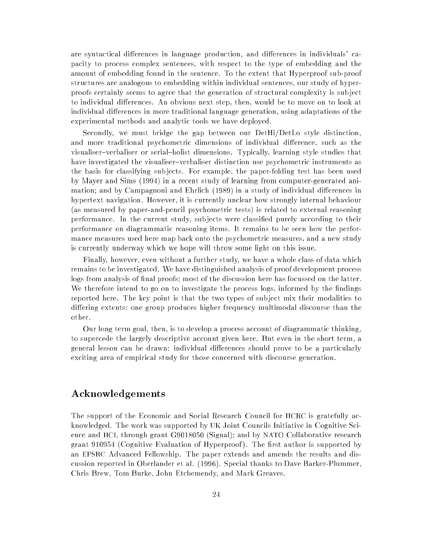are syntactical differences in language production, and differences in individuals' capacity to process complex sentences, with respect to the type of embedding and the amount of embedding found in the sentence. To the extent that Hyperproof sub-proof structures are analogous to embedding within individual sentences, our study of hyperproofs certainly seems to agree that the generation of structural complexity is sub ject to individual differences. An obvious next step, then, would be to move on to look at individual differences in more traditional language generation, using adaptations of the experimental methods and analytic tools we have deployed.

Secondly, we must bridge the gap between our DetHi/DetLo style distinction, and more traditional psychometric dimensions of individual difference, such as the visualiser-verbaliser or serial-holist dimensions. Typically, learning style studies that have investigated the visualiser-verbaliser distinction use psychometric instruments as the basis for classifying sub jects. For example, the paper-folding test has been used by Mayer and Sims (1994) in a recent study of learning from computer-generated animation; and by Campagnoni and Ehrlich (1989) in a study of individual differences in hypertext navigation. However, it is currently unclear how strongly internal behaviour (as measured by paper-and-pencil psychometric tests) is related to external reasoning performance. In the current study, sub jects were classied purely according to their performance on diagrammatic reasoning items. It remains to be seen how the performance measures used here map back onto the psychometric measures, and a new study is currently underway which we hope will throw some light on this issue.

Finally, however, even without a further study, we have a whole class of data which remains to be investigated. We have distinguished analysis of proof development process logs from analysis of final proofs; most of the discussion here has focussed on the latter. We therefore intend to go on to investigate the process logs, informed by the findings reported here. The key point is that the two types of sub ject mix their modalities to differing extents: one group produces higher frequency multimodal discourse than the other.

Our long term goal, then, is to develop a process account of diagrammatic thinking, to supercede the largely descriptive account given here. But even in the short term, a general lesson can be drawn: individual differences should prove to be a particularly exciting area of empirical study for those concerned with discourse generation.

### Acknowledgements

The support of the Economic and Social Research Council for HCRC is gratefully acknowledged. The work was supported by UK Joint Councils Initiative in Cognitive Science and HCI, through grant G9018050 (Signal); and by NATO Collaborative research grant 910954 (Cognitive Evaluation of Hyperproof). The first author is supported by an EPSRC Advanced Fellowship. The paper extends and amends the results and discussion reported in Oberlander et al. (1996). Special thanks to Dave Barker-Plummer, Chris Brew, Tom Burke, John Etchemendy, and Mark Greaves.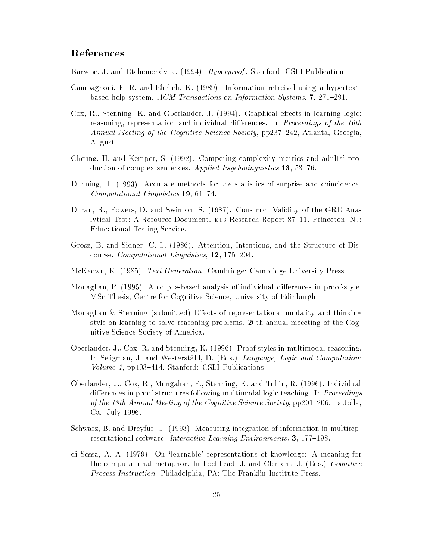### References

Barwise, J. and Etchemendy, J. (1994). Hyperproof. Stanford: CSLI Publications.

- Campagnoni, F. R. and Ehrlich, K. (1989). Information retreival using a hypertextbased help system.  $ACM$  Transactions on Information Systems, 7, 271-291.
- Cox, R., Stenning, K. and Oberlander, J. (1994). Graphical effects in learning logic: reasoning, representation and individual differences. In *Proceedings of the 16th* Annual Meeting of the Cognitive Science Society,  $pp237{-}242$ , Atlanta, Georgia, August.
- Cheung, H. and Kemper, S. (1992). Competing complexity metrics and adults' production of complex sentences. Applied Psycholinguistics 13, 53-76.
- Dunning, T. (1993). Accurate methods for the statistics of surprise and coincidence. Computational Linguistics 19, 61-74.
- Duran, R., Powers, D. and Swinton, S. (1987). Construct Validity of the GRE Analytical Test: A Resource Document. ETS Research Report 87–11. Princeton, NJ: Educational Testing Service.
- Grosz, B. and Sidner, C. L. (1986). Attention, Intentions, and the Structure of Discourse. Computational Linguistics,  $12$ ,  $175{-}204$ .
- McKeown, K. (1985). Text Generation. Cambridge: Cambridge University Press.
- Monaghan, P. (1995). A corpus-based analysis of individual differences in proof-style. MSc Thesis, Centre for Cognitive Science, University of Edinburgh.
- Monaghan  $&$  Stenning (submitted) Effects of representational modality and thinking style on learning to solve reasoning problems. 20th annual meeeting of the Cognitive Science Society of America.
- Oberlander, J., Cox, R. and Stenning, K. (1996). Proof styles in multimodal reasoning. In Seligman, J. and Westerståhl, D. (Eds.) Language, Logic and Computation: Volume 1,  $pp403-414$ . Stanford: CSLI Publications.
- Oberlander, J., Cox, R., Mongahan, P., Stenning, K. and Tobin, R. (1996). Individual differences in proof structures following multimodal logic teaching. In *Proceedings* of the 18th Annual Meeting of the Cognitive Science Society,  $pp201=206$ , La Jolla, Ca., July 1996.
- Schwarz, B. and Dreyfus, T. (1993). Measuring integration of information in multirepresentational software. Interactive Learning Environments, 3, 177-198.
- di Sessa, A. A. (1979). On `learnable' representations of knowledge: A meaning for the computational metaphor. In Lochhead, J. and Clement, J. (Eds.) Cognitive Process Instruction. Philadelphia, PA: The Franklin Institute Press.